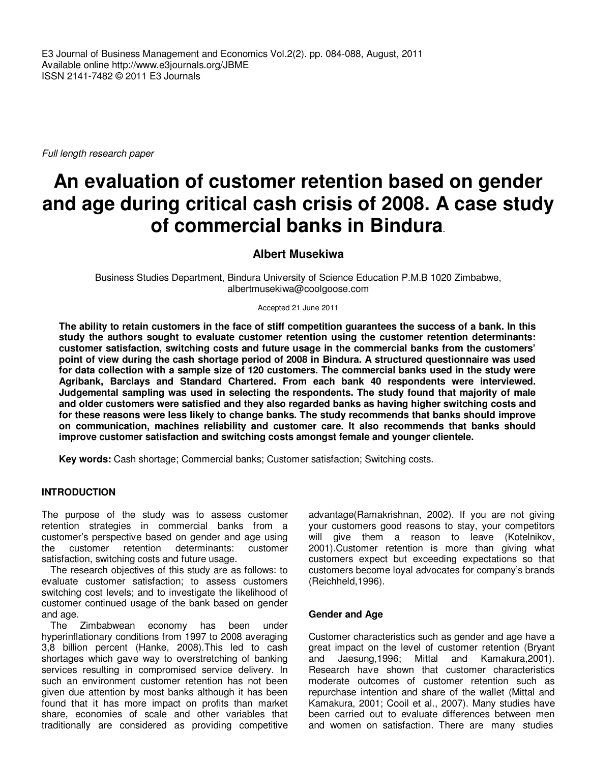E3 Journal of Business Management and Economics Vol.2(2). pp. 084-088, August, 2011 Available online http://www.e3journals.org/JBME ISSN 2141-7482 © 2011 E3 Journals

Full length research paper

# **An evaluation of customer retention based on gender and age during critical cash crisis of 2008. A case study of commercial banks in Bindura**.

# **Albert Musekiwa**

Business Studies Department, Bindura University of Science Education P.M.B 1020 Zimbabwe, albertmusekiwa@coolgoose.com

Accepted 21 June 2011

**The ability to retain customers in the face of stiff competition guarantees the success of a bank. In this study the authors sought to evaluate customer retention using the customer retention determinants: customer satisfaction, switching costs and future usage in the commercial banks from the customers' point of view during the cash shortage period of 2008 in Bindura. A structured questionnaire was used for data collection with a sample size of 120 customers. The commercial banks used in the study were Agribank, Barclays and Standard Chartered. From each bank 40 respondents were interviewed. Judgemental sampling was used in selecting the respondents. The study found that majority of male and older customers were satisfied and they also regarded banks as having higher switching costs and for these reasons were less likely to change banks. The study recommends that banks should improve on communication, machines reliability and customer care. It also recommends that banks should improve customer satisfaction and switching costs amongst female and younger clientele.** 

**Key words:** Cash shortage; Commercial banks; Customer satisfaction; Switching costs.

# **INTRODUCTION**

The purpose of the study was to assess customer retention strategies in commercial banks from a customer's perspective based on gender and age using the customer retention determinants: customer satisfaction, switching costs and future usage.

The research objectives of this study are as follows: to evaluate customer satisfaction; to assess customers switching cost levels; and to investigate the likelihood of customer continued usage of the bank based on gender and age.

The Zimbabwean economy has been under hyperinflationary conditions from 1997 to 2008 averaging 3,8 billion percent (Hanke, 2008).This led to cash shortages which gave way to overstretching of banking services resulting in compromised service delivery. In such an environment customer retention has not been given due attention by most banks although it has been found that it has more impact on profits than market share, economies of scale and other variables that traditionally are considered as providing competitive

advantage(Ramakrishnan, 2002). If you are not giving your customers good reasons to stay, your competitors will give them a reason to leave (Kotelnikov, 2001).Customer retention is more than giving what customers expect but exceeding expectations so that customers become loyal advocates for company's brands (Reichheld,1996).

#### **Gender and Age**

Customer characteristics such as gender and age have a great impact on the level of customer retention (Bryant and Jaesung,1996; Mittal and Kamakura,2001). Research have shown that customer characteristics moderate outcomes of customer retention such as repurchase intention and share of the wallet (Mittal and Kamakura, 2001; Cooil et al., 2007). Many studies have been carried out to evaluate differences between men and women on satisfaction. There are many studies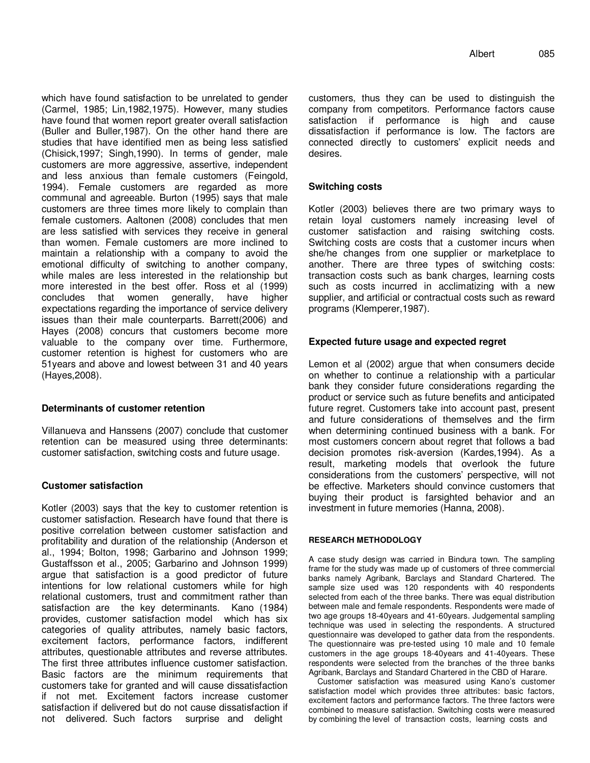which have found satisfaction to be unrelated to gender (Carmel, 1985; Lin,1982,1975). However, many studies have found that women report greater overall satisfaction (Buller and Buller,1987). On the other hand there are studies that have identified men as being less satisfied (Chisick,1997; Singh,1990). In terms of gender, male customers are more aggressive, assertive, independent and less anxious than female customers (Feingold, 1994). Female customers are regarded as more communal and agreeable. Burton (1995) says that male customers are three times more likely to complain than female customers. Aaltonen (2008) concludes that men are less satisfied with services they receive in general than women. Female customers are more inclined to maintain a relationship with a company to avoid the emotional difficulty of switching to another company, while males are less interested in the relationship but more interested in the best offer. Ross et al (1999) concludes that women generally, have higher expectations regarding the importance of service delivery issues than their male counterparts. Barrett(2006) and Hayes (2008) concurs that customers become more valuable to the company over time. Furthermore, customer retention is highest for customers who are 51years and above and lowest between 31 and 40 years (Hayes,2008).

# **Determinants of customer retention**

Villanueva and Hanssens (2007) conclude that customer retention can be measured using three determinants: customer satisfaction, switching costs and future usage.

#### **Customer satisfaction**

Kotler (2003) says that the key to customer retention is customer satisfaction. Research have found that there is positive correlation between customer satisfaction and profitability and duration of the relationship (Anderson et al., 1994; Bolton, 1998; Garbarino and Johnson 1999; Gustaffsson et al., 2005; Garbarino and Johnson 1999) argue that satisfaction is a good predictor of future intentions for low relational customers while for high relational customers, trust and commitment rather than satisfaction are the key determinants. Kano (1984) provides, customer satisfaction model which has six categories of quality attributes, namely basic factors, excitement factors, performance factors, indifferent attributes, questionable attributes and reverse attributes. The first three attributes influence customer satisfaction. Basic factors are the minimum requirements that customers take for granted and will cause dissatisfaction if not met. Excitement factors increase customer satisfaction if delivered but do not cause dissatisfaction if not delivered. Such factors surprise and delight

customers, thus they can be used to distinguish the company from competitors. Performance factors cause satisfaction if performance is high and cause dissatisfaction if performance is low. The factors are connected directly to customers' explicit needs and desires.

## **Switching costs**

Kotler (2003) believes there are two primary ways to retain loyal customers namely increasing level of customer satisfaction and raising switching costs. Switching costs are costs that a customer incurs when she/he changes from one supplier or marketplace to another. There are three types of switching costs: transaction costs such as bank charges, learning costs such as costs incurred in acclimatizing with a new supplier, and artificial or contractual costs such as reward programs (Klemperer,1987).

## **Expected future usage and expected regret**

Lemon et al (2002) argue that when consumers decide on whether to continue a relationship with a particular bank they consider future considerations regarding the product or service such as future benefits and anticipated future regret. Customers take into account past, present and future considerations of themselves and the firm when determining continued business with a bank. For most customers concern about regret that follows a bad decision promotes risk-aversion (Kardes,1994). As a result, marketing models that overlook the future considerations from the customers' perspective, will not be effective. Marketers should convince customers that buying their product is farsighted behavior and an investment in future memories (Hanna, 2008).

#### **RESEARCH METHODOLOGY**

A case study design was carried in Bindura town. The sampling frame for the study was made up of customers of three commercial banks namely Agribank, Barclays and Standard Chartered. The sample size used was 120 respondents with 40 respondents selected from each of the three banks. There was equal distribution between male and female respondents. Respondents were made of two age groups 18-40years and 41-60years. Judgemental sampling technique was used in selecting the respondents. A structured questionnaire was developed to gather data from the respondents. The questionnaire was pre-tested using 10 male and 10 female customers in the age groups 18-40years and 41-40years. These respondents were selected from the branches of the three banks Agribank, Barclays and Standard Chartered in the CBD of Harare.

Customer satisfaction was measured using Kano's customer satisfaction model which provides three attributes: basic factors, excitement factors and performance factors. The three factors were combined to measure satisfaction. Switching costs were measured by combining the level of transaction costs, learning costs and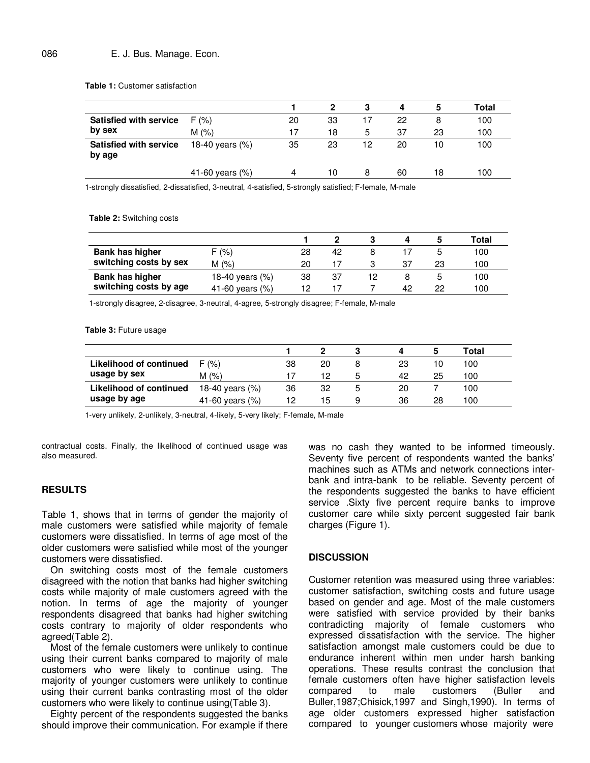**Table 1:** Customer satisfaction

|                                         |                    |    |    |    | 4  | 5  | Total |
|-----------------------------------------|--------------------|----|----|----|----|----|-------|
| <b>Satisfied with service</b>           | F(% )              | 20 | 33 | 17 | 22 | 8  | 100   |
| by sex                                  | M(%)               | 17 | 18 | 5  | 37 | 23 | 100   |
| <b>Satisfied with service</b><br>by age | 18-40 years (%)    | 35 | 23 | 12 | 20 | 10 | 100   |
|                                         | 41-60 years $(\%)$ | 4  | 10 | 8  | 60 | 18 | 100   |
|                                         |                    |    |    |    |    |    |       |

1-strongly dissatisfied, 2-dissatisfied, 3-neutral, 4-satisfied, 5-strongly satisfied; F-female, M-male

**Table 2:** Switching costs

|                                           |                 |     |    |    |    | Total |
|-------------------------------------------|-----------------|-----|----|----|----|-------|
| Bank has higher<br>switching costs by sex | (% )            | 28  | 42 |    |    | 100   |
|                                           | $M(\%)$         | 20  | 17 | 37 | 23 | 100   |
| Bank has higher<br>switching costs by age | 18-40 years (%) | 38  | 37 |    |    | 100   |
|                                           | 41-60 years (%) | 1 מ |    | 42 | 22 | 100   |

1-strongly disagree, 2-disagree, 3-neutral, 4-agree, 5-strongly disagree; F-female, M-male

**Table 3:** Future usage

|                                         |                 |    |    |   |    |    | Total |  |
|-----------------------------------------|-----------------|----|----|---|----|----|-------|--|
| Likelihood of continued<br>usage by sex | F(% )           | 38 | 20 |   | 23 | 10 | 100   |  |
|                                         | M(%)            |    | 12 | 5 | 42 | 25 | 100   |  |
| Likelihood of continued                 | 18-40 years (%) | 36 | 32 | 5 | 20 |    | 100   |  |
| usage by age                            | 41-60 years (%) | 12 | 15 |   | 36 | 28 | 100   |  |

1-very unlikely, 2-unlikely, 3-neutral, 4-likely, 5-very likely; F-female, M-male

contractual costs. Finally, the likelihood of continued usage was also measured.

### **RESULTS**

Table 1, shows that in terms of gender the majority of male customers were satisfied while majority of female customers were dissatisfied. In terms of age most of the older customers were satisfied while most of the younger customers were dissatisfied.

On switching costs most of the female customers disagreed with the notion that banks had higher switching costs while majority of male customers agreed with the notion. In terms of age the majority of younger respondents disagreed that banks had higher switching costs contrary to majority of older respondents who agreed(Table 2).

Most of the female customers were unlikely to continue using their current banks compared to majority of male customers who were likely to continue using. The majority of younger customers were unlikely to continue using their current banks contrasting most of the older customers who were likely to continue using(Table 3).

Eighty percent of the respondents suggested the banks should improve their communication. For example if there

was no cash they wanted to be informed timeously. Seventy five percent of respondents wanted the banks' machines such as ATMs and network connections interbank and intra-bank to be reliable. Seventy percent of the respondents suggested the banks to have efficient service .Sixty five percent require banks to improve customer care while sixty percent suggested fair bank charges (Figure 1).

#### **DISCUSSION**

Customer retention was measured using three variables: customer satisfaction, switching costs and future usage based on gender and age. Most of the male customers were satisfied with service provided by their banks contradicting majority of female customers who expressed dissatisfaction with the service. The higher satisfaction amongst male customers could be due to endurance inherent within men under harsh banking operations. These results contrast the conclusion that female customers often have higher satisfaction levels compared to male customers (Buller and Buller,1987;Chisick,1997 and Singh,1990). In terms of age older customers expressed higher satisfaction compared to younger customers whose majority were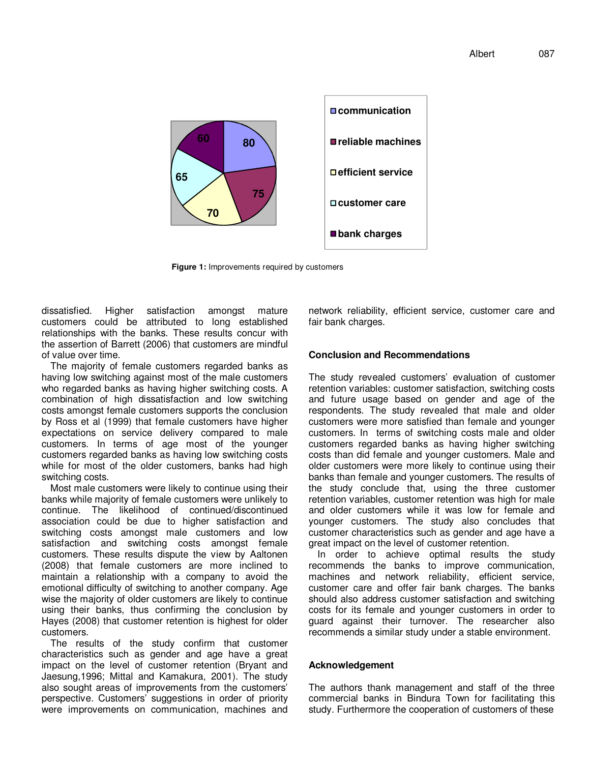

**Figure 1:** Improvements required by customers

dissatisfied. Higher satisfaction amongst mature customers could be attributed to long established relationships with the banks. These results concur with the assertion of Barrett (2006) that customers are mindful of value over time.

The majority of female customers regarded banks as having low switching against most of the male customers who regarded banks as having higher switching costs. A combination of high dissatisfaction and low switching costs amongst female customers supports the conclusion by Ross et al (1999) that female customers have higher expectations on service delivery compared to male customers. In terms of age most of the younger customers regarded banks as having low switching costs while for most of the older customers, banks had high switching costs.

Most male customers were likely to continue using their banks while majority of female customers were unlikely to continue. The likelihood of continued/discontinued association could be due to higher satisfaction and switching costs amongst male customers and low satisfaction and switching costs amongst female customers. These results dispute the view by Aaltonen (2008) that female customers are more inclined to maintain a relationship with a company to avoid the emotional difficulty of switching to another company. Age wise the majority of older customers are likely to continue using their banks, thus confirming the conclusion by Hayes (2008) that customer retention is highest for older customers.

The results of the study confirm that customer characteristics such as gender and age have a great impact on the level of customer retention (Bryant and Jaesung,1996; Mittal and Kamakura, 2001). The study also sought areas of improvements from the customers' perspective. Customers' suggestions in order of priority were improvements on communication, machines and network reliability, efficient service, customer care and fair bank charges.

## **Conclusion and Recommendations**

The study revealed customers' evaluation of customer retention variables: customer satisfaction, switching costs and future usage based on gender and age of the respondents. The study revealed that male and older customers were more satisfied than female and younger customers. In terms of switching costs male and older customers regarded banks as having higher switching costs than did female and younger customers. Male and older customers were more likely to continue using their banks than female and younger customers. The results of the study conclude that, using the three customer retention variables, customer retention was high for male and older customers while it was low for female and younger customers. The study also concludes that customer characteristics such as gender and age have a great impact on the level of customer retention.

In order to achieve optimal results the study recommends the banks to improve communication, machines and network reliability, efficient service, customer care and offer fair bank charges. The banks should also address customer satisfaction and switching costs for its female and younger customers in order to guard against their turnover. The researcher also recommends a similar study under a stable environment.

# **Acknowledgement**

The authors thank management and staff of the three commercial banks in Bindura Town for facilitating this study. Furthermore the cooperation of customers of these